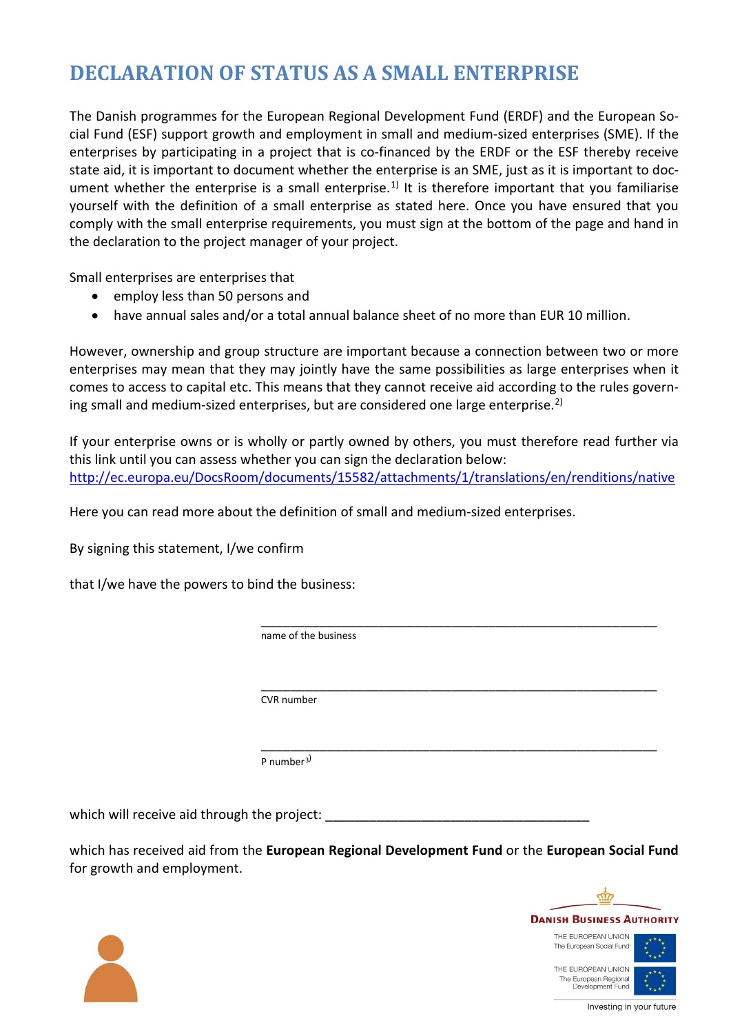## **DECLARATION OF STATUS AS A SMALL ENTERPRISE**

The Danish programmes for the European Regional Development Fund (ERDF) and the European Social Fund (ESF) support growth and employment in small and medium-sized enterprises (SME). If the enterprises by participating in a project that is co-financed by the ERDF or the ESF thereby receive state aid, it is important to document whether the enterprise is an SME, just as it is important to doc-ument whether the enterprise is a small enterprise.<sup>[1\)](#page-1-0)</sup> It is therefore important that you familiarise yourself with the definition of a small enterprise as stated here. Once you have ensured that you comply with the small enterprise requirements, you must sign at the bottom of the page and hand in the declaration to the project manager of your project.

Small enterprises are enterprises that

- employ less than 50 persons and
- have annual sales and/or a total annual balance sheet of no more than EUR 10 million.

However, ownership and group structure are important because a connection between two or more enterprises may mean that they may jointly have the same possibilities as large enterprises when it comes to access to capital etc. This means that they cannot receive aid according to the rules govern-ing small and medium-sized enterprises, but are considered one large enterprise.<sup>[2\)](#page-1-1)</sup>

If your enterprise owns or is wholly or partly owned by others, you must therefore read further via this link until you can assess whether you can sign the declaration below: <http://ec.europa.eu/DocsRoom/documents/15582/attachments/1/translations/en/renditions/native>

Here you can read more about the definition of small and medium-sized enterprises.

By signing this statement, I/we confirm

that I/we have the powers to bind the business:

 \_\_\_\_\_\_\_\_\_\_\_\_\_\_\_\_\_\_\_\_\_\_\_\_\_\_\_\_\_\_\_\_\_\_\_\_\_\_\_\_\_\_\_\_\_\_\_\_\_\_\_\_\_\_ name of the business

> \_\_\_\_\_\_\_\_\_\_\_\_\_\_\_\_\_\_\_\_\_\_\_\_\_\_\_\_\_\_\_\_\_\_\_\_\_\_\_\_\_\_\_\_\_\_\_\_\_\_\_\_\_\_ CVR number

P number<sup>[3\)](#page-1-2)</sup>

which will receive aid through the project:

which has received aid from the **European Regional Development Fund** or the **European Social Fund** for growth and employment.

\_\_\_\_\_\_\_\_\_\_\_\_\_\_\_\_\_\_\_\_\_\_\_\_\_\_\_\_\_\_\_\_\_\_\_\_\_\_\_\_\_\_\_\_\_\_\_\_\_\_\_\_\_\_